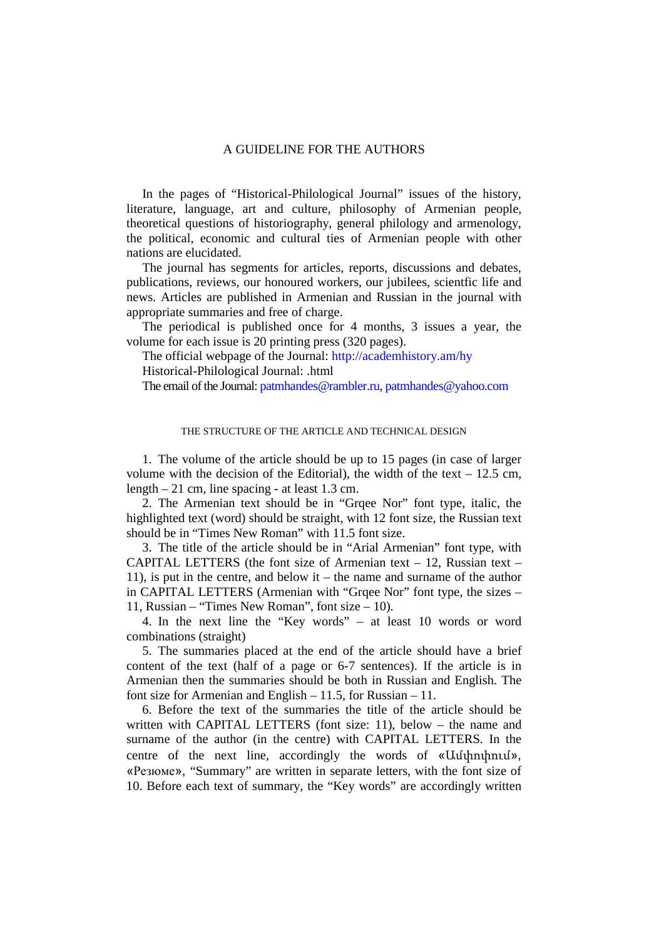## A GUIDELINE FOR THE AUTHORS

In the pages of "Historical-Philological Journal" issues of the history, literature, language, art and culture, philosophy of Armenian people, theoretical questions of historiography, general philology and armenology, the political, economic and cultural ties of Armenian people with other nations are elucidated.

The journal has segments for articles, reports, discussions and debates, publications, reviews, our honoured workers, our jubilees, scientfic life and news. Articles are published in Armenian and Russian in the journal with appropriate summaries and free of charge.

The periodical is published once for 4 months, 3 issues a year, the volume for each issue is 20 printing press (320 pages).

The official webpage of the Journal: <http://academhistory.am/hy> Historical-Philological Journal: .html

The email of the Journal[: patmhandes@rambler.ru,](mailto:patmhandes@rambler.ru) patmhandes@vahoo.com

## THE STRUCTURE OF THE ARTICLE AND TECHNICAL DESIGN

1. The volume of the article should be up to 15 pages (in case of larger volume with the decision of the Editorial), the width of the text  $-12.5$  cm, length – 21 cm, line spacing - at least 1.3 cm.

2. The Armenian text should be in "Grqee Nor" font type, italic, the highlighted text (word) should be straight, with 12 font size, the Russian text should be in "Times New Roman" with 11.5 font size.

3. The title of the article should be in "Arial Armenian" font type, with CAPITAL LETTERS (the font size of Armenian text  $-12$ , Russian text  $-$ 11), is put in the centre, and below it – the name and surname of the author in CAPITAL LETTERS (Armenian with "Grqee Nor" font type, the sizes – 11, Russian – "Times New Roman", font size – 10).

4. In the next line the "Key words" – at least 10 words or word combinations (straight)

5. The summaries placed at the end of the article should have a brief content of the text (half of a page or 6-7 sentences). If the article is in Armenian then the summaries should be both in Russian and English. The font size for Armenian and English – 11.5, for Russian – 11.

6. Before the text of the summaries the title of the article should be written with CAPITAL LETTERS (font size: 11), below – the name and surname of the author (in the centre) with CAPITAL LETTERS. In the centre of the next line, accordingly the words of «Ամփոփում», «Резюме», "Summary" are written in separate letters, with the font size of 10. Before each text of summary, the "Key words" are accordingly written